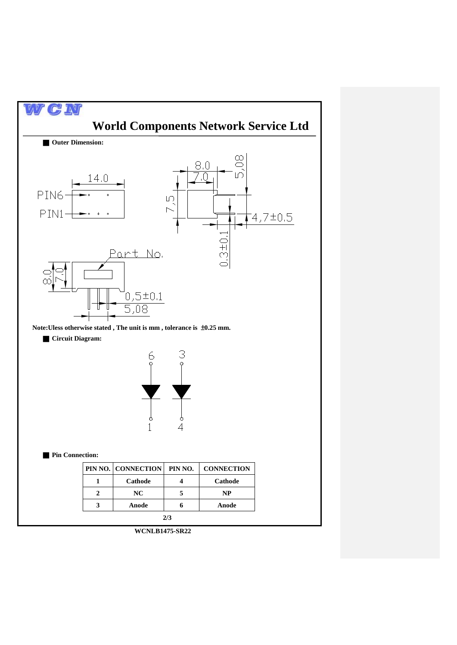

**WCNLB1475-SR22**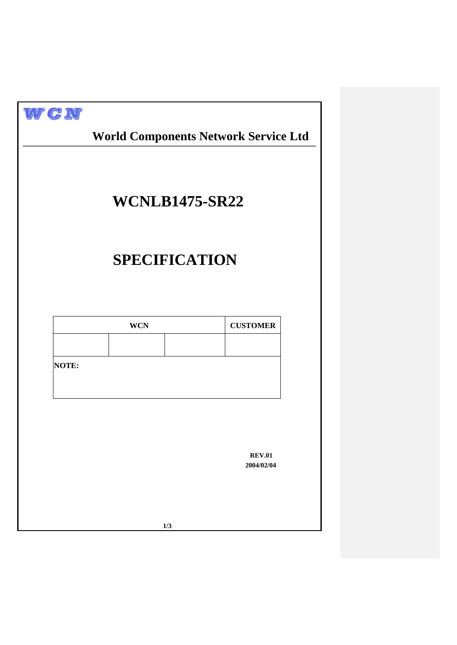| WGN          |                      | <b>World Components Network Service Ltd</b> |  |
|--------------|----------------------|---------------------------------------------|--|
|              |                      | <b>WCNLB1475-SR22</b>                       |  |
|              | <b>SPECIFICATION</b> |                                             |  |
|              | <b>WCN</b>           | <b>CUSTOMER</b>                             |  |
| <b>NOTE:</b> |                      |                                             |  |
|              |                      |                                             |  |
|              |                      | <b>REV.01</b><br>2004/02/04                 |  |
|              | 1/3                  |                                             |  |